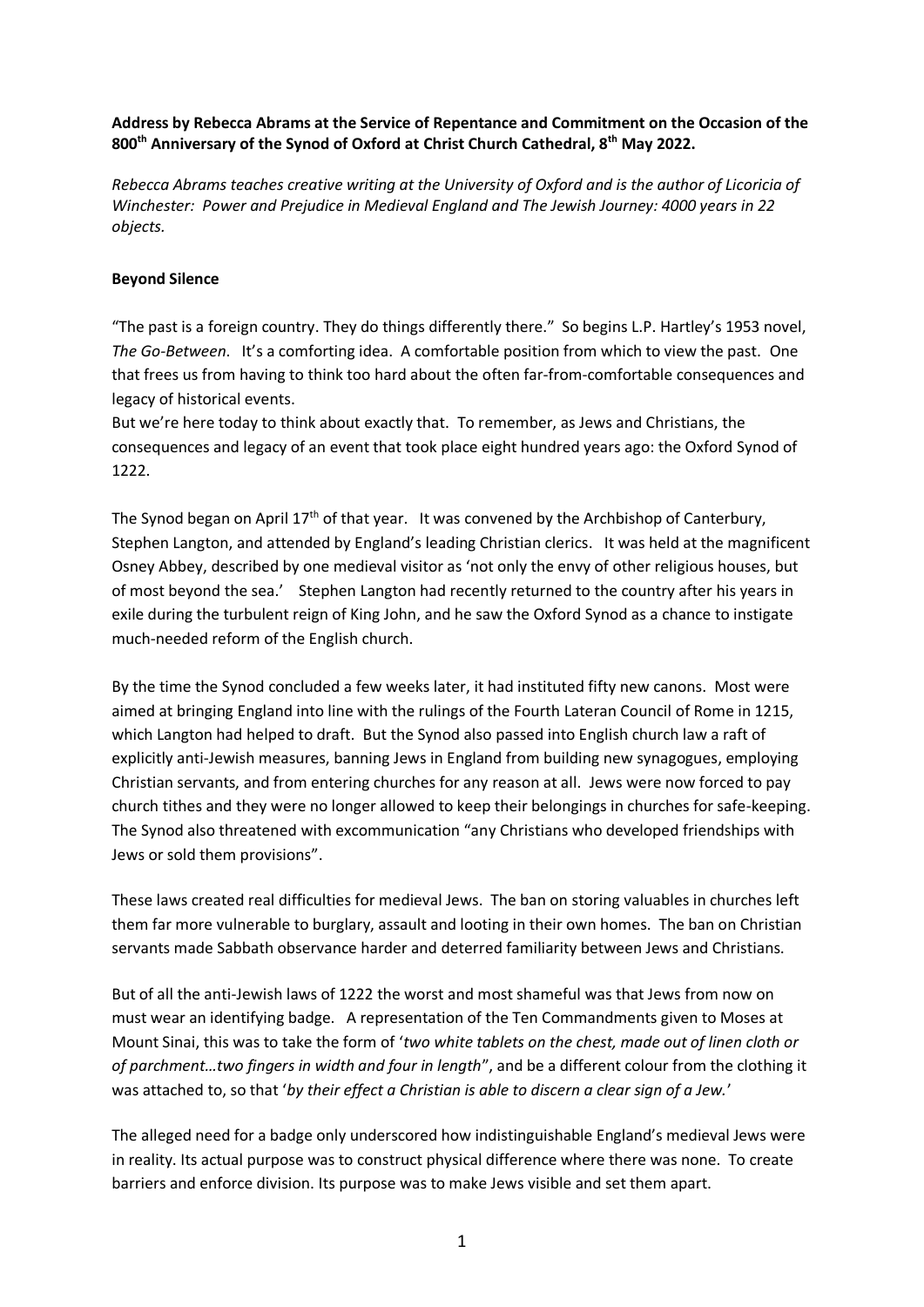## **Address by Rebecca Abrams at the Service of Repentance and Commitment on the Occasion of the 800th Anniversary of the Synod of Oxford at Christ Church Cathedral, 8th May 2022.**

*Rebecca Abrams teaches creative writing at the University of Oxford and is the author of Licoricia of Winchester: Power and Prejudice in Medieval England and The Jewish Journey: 4000 years in 22 objects.*

## **Beyond Silence**

"The past is a foreign country. They do things differently there." So begins L.P. Hartley's 1953 novel, *The Go-Between*. It's a comforting idea. A comfortable position from which to view the past. One that frees us from having to think too hard about the often far-from-comfortable consequences and legacy of historical events.

But we're here today to think about exactly that. To remember, as Jews and Christians, the consequences and legacy of an event that took place eight hundred years ago: the Oxford Synod of 1222.

The Synod began on April  $17<sup>th</sup>$  of that year. It was convened by the Archbishop of Canterbury, Stephen Langton, and attended by England's leading Christian clerics. It was held at the magnificent Osney Abbey, described by one medieval visitor as 'not only the envy of other religious houses, but of most beyond the sea.' Stephen Langton had recently returned to the country after his years in exile during the turbulent reign of King John, and he saw the Oxford Synod as a chance to instigate much-needed reform of the English church.

By the time the Synod concluded a few weeks later, it had instituted fifty new canons. Most were aimed at bringing England into line with the rulings of the Fourth Lateran Council of Rome in 1215, which Langton had helped to draft. But the Synod also passed into English church law a raft of explicitly anti-Jewish measures, banning Jews in England from building new synagogues, employing Christian servants, and from entering churches for any reason at all. Jews were now forced to pay church tithes and they were no longer allowed to keep their belongings in churches for safe-keeping. The Synod also threatened with excommunication "any Christians who developed friendships with Jews or sold them provisions".

These laws created real difficulties for medieval Jews. The ban on storing valuables in churches left them far more vulnerable to burglary, assault and looting in their own homes. The ban on Christian servants made Sabbath observance harder and deterred familiarity between Jews and Christians.

But of all the anti-Jewish laws of 1222 the worst and most shameful was that Jews from now on must wear an identifying badge. A representation of the Ten Commandments given to Moses at Mount Sinai, this was to take the form of '*two white tablets on the chest, made out of linen cloth or of parchment…two fingers in width and four in length*", and be a different colour from the clothing it was attached to, so that '*by their effect a Christian is able to discern a clear sign of a Jew.*'

The alleged need for a badge only underscored how indistinguishable England's medieval Jews were in reality. Its actual purpose was to construct physical difference where there was none. To create barriers and enforce division. Its purpose was to make Jews visible and set them apart.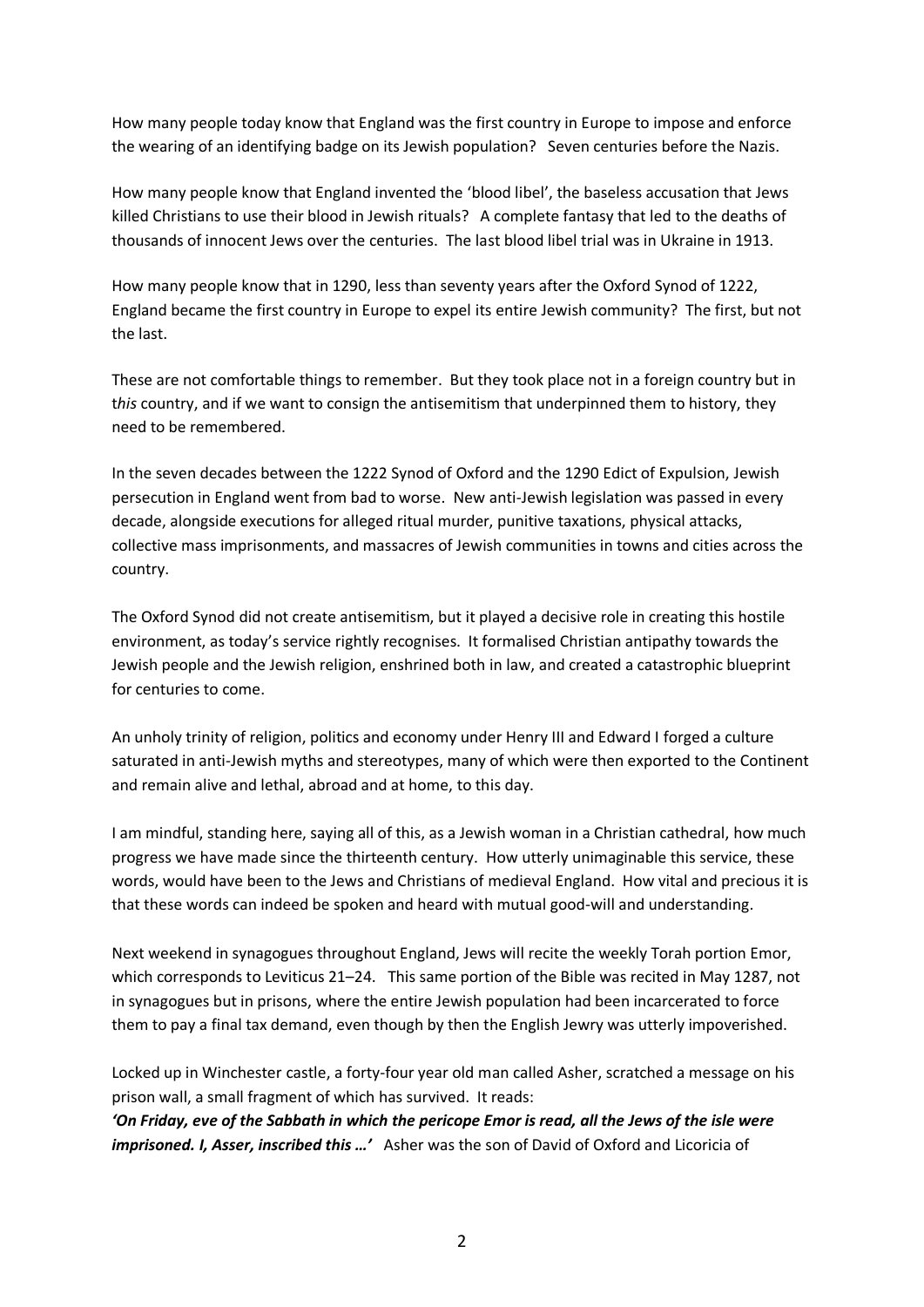How many people today know that England was the first country in Europe to impose and enforce the wearing of an identifying badge on its Jewish population? Seven centuries before the Nazis.

How many people know that England invented the 'blood libel', the baseless accusation that Jews killed Christians to use their blood in Jewish rituals? A complete fantasy that led to the deaths of thousands of innocent Jews over the centuries. The last blood libel trial was in Ukraine in 1913.

How many people know that in 1290, less than seventy years after the Oxford Synod of 1222, England became the first country in Europe to expel its entire Jewish community? The first, but not the last.

These are not comfortable things to remember. But they took place not in a foreign country but in t*his* country, and if we want to consign the antisemitism that underpinned them to history, they need to be remembered.

In the seven decades between the 1222 Synod of Oxford and the 1290 Edict of Expulsion, Jewish persecution in England went from bad to worse. New anti-Jewish legislation was passed in every decade, alongside executions for alleged ritual murder, punitive taxations, physical attacks, collective mass imprisonments, and massacres of Jewish communities in towns and cities across the country.

The Oxford Synod did not create antisemitism, but it played a decisive role in creating this hostile environment, as today's service rightly recognises. It formalised Christian antipathy towards the Jewish people and the Jewish religion, enshrined both in law, and created a catastrophic blueprint for centuries to come.

An unholy trinity of religion, politics and economy under Henry III and Edward I forged a culture saturated in anti-Jewish myths and stereotypes, many of which were then exported to the Continent and remain alive and lethal, abroad and at home, to this day.

I am mindful, standing here, saying all of this, as a Jewish woman in a Christian cathedral, how much progress we have made since the thirteenth century. How utterly unimaginable this service, these words, would have been to the Jews and Christians of medieval England. How vital and precious it is that these words can indeed be spoken and heard with mutual good-will and understanding.

Next weekend in synagogues throughout England, Jews will recite the weekly Torah portion Emor, which corresponds to Leviticus 21–24. This same portion of the Bible was recited in May 1287, not in synagogues but in prisons, where the entire Jewish population had been incarcerated to force them to pay a final tax demand, even though by then the English Jewry was utterly impoverished.

Locked up in Winchester castle, a forty-four year old man called Asher, scratched a message on his prison wall, a small fragment of which has survived. It reads:

*'On Friday, eve of the Sabbath in which the pericope Emor is read, all the Jews of the isle were imprisoned. I, Asser, inscribed this …'* Asher was the son of David of Oxford and Licoricia of